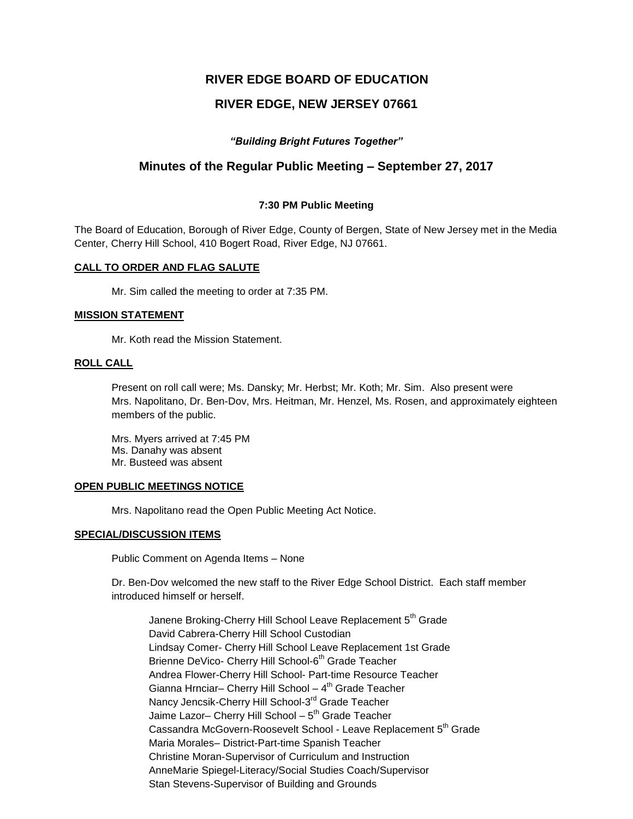# **RIVER EDGE BOARD OF EDUCATION**

# **RIVER EDGE, NEW JERSEY 07661**

### *"Building Bright Futures Together"*

## **Minutes of the Regular Public Meeting – September 27, 2017**

#### **7:30 PM Public Meeting**

The Board of Education, Borough of River Edge, County of Bergen, State of New Jersey met in the Media Center, Cherry Hill School, 410 Bogert Road, River Edge, NJ 07661.

#### **CALL TO ORDER AND FLAG SALUTE**

Mr. Sim called the meeting to order at 7:35 PM.

#### **MISSION STATEMENT**

Mr. Koth read the Mission Statement.

#### **ROLL CALL**

Present on roll call were; Ms. Dansky; Mr. Herbst; Mr. Koth; Mr. Sim. Also present were Mrs. Napolitano, Dr. Ben-Dov, Mrs. Heitman, Mr. Henzel, Ms. Rosen, and approximately eighteen members of the public.

Mrs. Myers arrived at 7:45 PM Ms. Danahy was absent Mr. Busteed was absent

#### **OPEN PUBLIC MEETINGS NOTICE**

Mrs. Napolitano read the Open Public Meeting Act Notice.

#### **SPECIAL/DISCUSSION ITEMS**

Public Comment on Agenda Items – None

Dr. Ben-Dov welcomed the new staff to the River Edge School District. Each staff member introduced himself or herself.

Janene Broking-Cherry Hill School Leave Replacement 5<sup>th</sup> Grade David Cabrera-Cherry Hill School Custodian Lindsay Comer- Cherry Hill School Leave Replacement 1st Grade Brienne DeVico- Cherry Hill School-6<sup>th</sup> Grade Teacher Andrea Flower-Cherry Hill School- Part-time Resource Teacher Gianna Hrnciar– Cherry Hill School – 4<sup>th</sup> Grade Teacher Nancy Jencsik-Cherry Hill School-3<sup>rd</sup> Grade Teacher Jaime Lazor– Cherry Hill School – 5<sup>th</sup> Grade Teacher Cassandra McGovern-Roosevelt School - Leave Replacement 5<sup>th</sup> Grade Maria Morales– District-Part-time Spanish Teacher Christine Moran-Supervisor of Curriculum and Instruction AnneMarie Spiegel-Literacy/Social Studies Coach/Supervisor Stan Stevens-Supervisor of Building and Grounds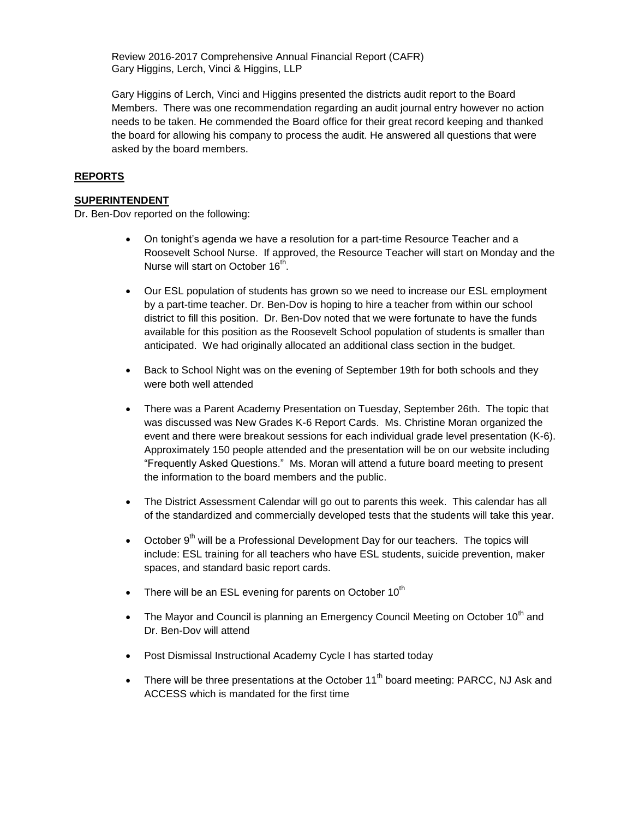Review 2016-2017 Comprehensive Annual Financial Report (CAFR) Gary Higgins, Lerch, Vinci & Higgins, LLP

Gary Higgins of Lerch, Vinci and Higgins presented the districts audit report to the Board Members. There was one recommendation regarding an audit journal entry however no action needs to be taken. He commended the Board office for their great record keeping and thanked the board for allowing his company to process the audit. He answered all questions that were asked by the board members.

### **REPORTS**

### **SUPERINTENDENT**

Dr. Ben-Dov reported on the following:

- On tonight's agenda we have a resolution for a part-time Resource Teacher and a Roosevelt School Nurse. If approved, the Resource Teacher will start on Monday and the Nurse will start on October 16<sup>th</sup>.
- Our ESL population of students has grown so we need to increase our ESL employment by a part-time teacher. Dr. Ben-Dov is hoping to hire a teacher from within our school district to fill this position. Dr. Ben-Dov noted that we were fortunate to have the funds available for this position as the Roosevelt School population of students is smaller than anticipated. We had originally allocated an additional class section in the budget.
- Back to School Night was on the evening of September 19th for both schools and they were both well attended
- There was a Parent Academy Presentation on Tuesday, September 26th. The topic that was discussed was New Grades K-6 Report Cards. Ms. Christine Moran organized the event and there were breakout sessions for each individual grade level presentation (K-6). Approximately 150 people attended and the presentation will be on our website including "Frequently Asked Questions." Ms. Moran will attend a future board meeting to present the information to the board members and the public.
- The District Assessment Calendar will go out to parents this week. This calendar has all of the standardized and commercially developed tests that the students will take this year.
- $\bullet$  October 9<sup>th</sup> will be a Professional Development Day for our teachers. The topics will include: ESL training for all teachers who have ESL students, suicide prevention, maker spaces, and standard basic report cards.
- There will be an ESL evening for parents on October  $10<sup>th</sup>$
- The Mayor and Council is planning an Emergency Council Meeting on October 10<sup>th</sup> and Dr. Ben-Dov will attend
- Post Dismissal Instructional Academy Cycle I has started today
- There will be three presentations at the October  $11<sup>th</sup>$  board meeting: PARCC, NJ Ask and ACCESS which is mandated for the first time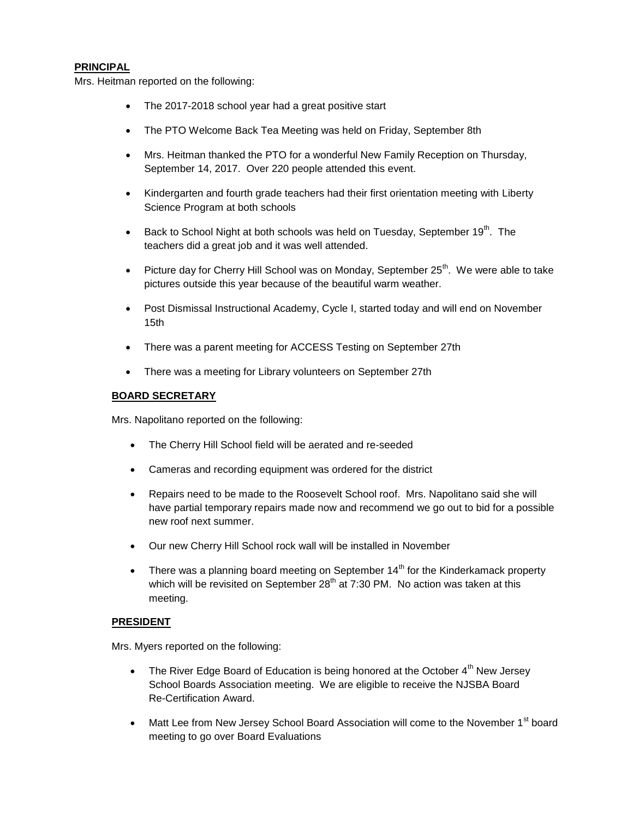#### **PRINCIPAL**

Mrs. Heitman reported on the following:

- The 2017-2018 school year had a great positive start
- The PTO Welcome Back Tea Meeting was held on Friday, September 8th
- Mrs. Heitman thanked the PTO for a wonderful New Family Reception on Thursday, September 14, 2017. Over 220 people attended this event.
- Kindergarten and fourth grade teachers had their first orientation meeting with Liberty Science Program at both schools
- **Back to School Night at both schools was held on Tuesday, September 19<sup>th</sup>. The** teachers did a great job and it was well attended.
- Picture day for Cherry Hill School was on Monday, September 25<sup>th</sup>. We were able to take pictures outside this year because of the beautiful warm weather.
- Post Dismissal Instructional Academy, Cycle I, started today and will end on November 15th
- There was a parent meeting for ACCESS Testing on September 27th
- There was a meeting for Library volunteers on September 27th

#### **BOARD SECRETARY**

Mrs. Napolitano reported on the following:

- The Cherry Hill School field will be aerated and re-seeded
- Cameras and recording equipment was ordered for the district
- Repairs need to be made to the Roosevelt School roof. Mrs. Napolitano said she will have partial temporary repairs made now and recommend we go out to bid for a possible new roof next summer.
- Our new Cherry Hill School rock wall will be installed in November
- There was a planning board meeting on September  $14<sup>th</sup>$  for the Kinderkamack property which will be revisited on September 28<sup>th</sup> at 7:30 PM. No action was taken at this meeting.

#### **PRESIDENT**

Mrs. Myers reported on the following:

- The River Edge Board of Education is being honored at the October  $4<sup>th</sup>$  New Jersey School Boards Association meeting. We are eligible to receive the NJSBA Board Re-Certification Award.
- Matt Lee from New Jersey School Board Association will come to the November  $1<sup>st</sup>$  board meeting to go over Board Evaluations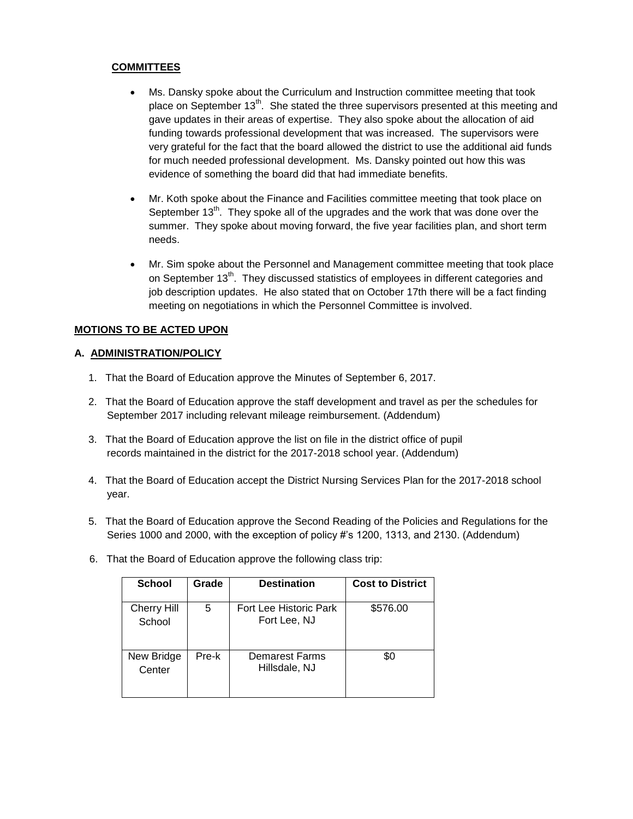### **COMMITTEES**

- Ms. Dansky spoke about the Curriculum and Instruction committee meeting that took place on September 13<sup>th</sup>. She stated the three supervisors presented at this meeting and gave updates in their areas of expertise. They also spoke about the allocation of aid funding towards professional development that was increased. The supervisors were very grateful for the fact that the board allowed the district to use the additional aid funds for much needed professional development. Ms. Dansky pointed out how this was evidence of something the board did that had immediate benefits.
- Mr. Koth spoke about the Finance and Facilities committee meeting that took place on September 13<sup>th</sup>. They spoke all of the upgrades and the work that was done over the summer. They spoke about moving forward, the five year facilities plan, and short term needs.
- Mr. Sim spoke about the Personnel and Management committee meeting that took place on September 13<sup>th</sup>. They discussed statistics of employees in different categories and job description updates. He also stated that on October 17th there will be a fact finding meeting on negotiations in which the Personnel Committee is involved.

### **MOTIONS TO BE ACTED UPON**

#### **A. ADMINISTRATION/POLICY**

- 1. That the Board of Education approve the Minutes of September 6, 2017.
- 2. That the Board of Education approve the staff development and travel as per the schedules for September 2017 including relevant mileage reimbursement. (Addendum)
- 3. That the Board of Education approve the list on file in the district office of pupil records maintained in the district for the 2017-2018 school year. (Addendum)
- 4. That the Board of Education accept the District Nursing Services Plan for the 2017-2018 school year.
- 5. That the Board of Education approve the Second Reading of the Policies and Regulations for the Series 1000 and 2000, with the exception of policy #'s 1200, 1313, and 2130. (Addendum)
- 6. That the Board of Education approve the following class trip:

| <b>School</b>                | Grade | <b>Destination</b>                     | <b>Cost to District</b> |
|------------------------------|-------|----------------------------------------|-------------------------|
| <b>Cherry Hill</b><br>School | 5     | Fort Lee Historic Park<br>Fort Lee, NJ | \$576.00                |
| New Bridge<br>Center         | Pre-k | Demarest Farms<br>Hillsdale, NJ        | \$0                     |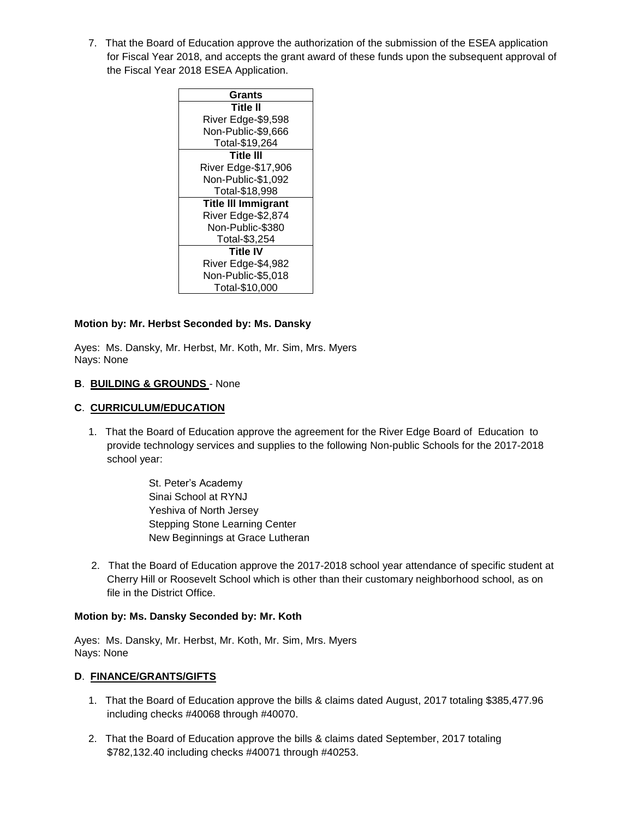7. That the Board of Education approve the authorization of the submission of the ESEA application for Fiscal Year 2018, and accepts the grant award of these funds upon the subsequent approval of the Fiscal Year 2018 ESEA Application.

### **Motion by: Mr. Herbst Seconded by: Ms. Dansky**

Ayes: Ms. Dansky, Mr. Herbst, Mr. Koth, Mr. Sim, Mrs. Myers Nays: None

#### **B**. **BUILDING & GROUNDS** - None

### **C**. **CURRICULUM/EDUCATION**

1. That the Board of Education approve the agreement for the River Edge Board of Education to provide technology services and supplies to the following Non-public Schools for the 2017-2018 school year:

> St. Peter's Academy Sinai School at RYNJ Yeshiva of North Jersey Stepping Stone Learning Center New Beginnings at Grace Lutheran

2. That the Board of Education approve the 2017-2018 school year attendance of specific student at Cherry Hill or Roosevelt School which is other than their customary neighborhood school, as on file in the District Office.

#### **Motion by: Ms. Dansky Seconded by: Mr. Koth**

Ayes: Ms. Dansky, Mr. Herbst, Mr. Koth, Mr. Sim, Mrs. Myers Nays: None

#### **D**. **FINANCE/GRANTS/GIFTS**

- 1. That the Board of Education approve the bills & claims dated August, 2017 totaling \$385,477.96 including checks #40068 through #40070.
- 2. That the Board of Education approve the bills & claims dated September, 2017 totaling \$782,132.40 including checks #40071 through #40253.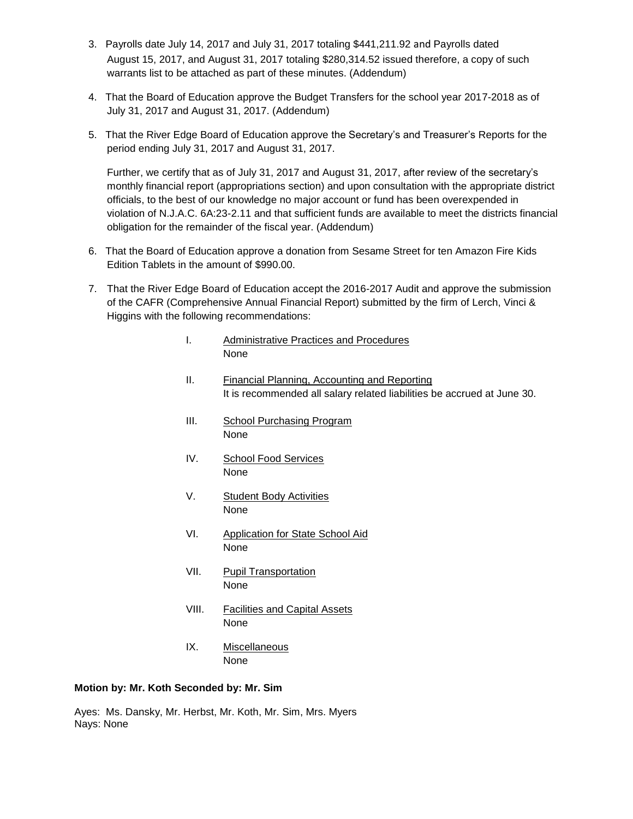- 3. Payrolls date July 14, 2017 and July 31, 2017 totaling \$441,211.92 and Payrolls dated August 15, 2017, and August 31, 2017 totaling \$280,314.52 issued therefore, a copy of such warrants list to be attached as part of these minutes. (Addendum)
- 4. That the Board of Education approve the Budget Transfers for the school year 2017-2018 as of July 31, 2017 and August 31, 2017. (Addendum)
- 5. That the River Edge Board of Education approve the Secretary's and Treasurer's Reports for the period ending July 31, 2017 and August 31, 2017.

Further, we certify that as of July 31, 2017 and August 31, 2017, after review of the secretary's monthly financial report (appropriations section) and upon consultation with the appropriate district officials, to the best of our knowledge no major account or fund has been overexpended in violation of N.J.A.C. 6A:23-2.11 and that sufficient funds are available to meet the districts financial obligation for the remainder of the fiscal year. (Addendum)

- 6. That the Board of Education approve a donation from Sesame Street for ten Amazon Fire Kids Edition Tablets in the amount of \$990.00.
- 7. That the River Edge Board of Education accept the 2016-2017 Audit and approve the submission of the CAFR (Comprehensive Annual Financial Report) submitted by the firm of Lerch, Vinci & Higgins with the following recommendations:
	- I. Administrative Practices and Procedures None
	- II. Financial Planning, Accounting and Reporting It is recommended all salary related liabilities be accrued at June 30.
	- III. School Purchasing Program None
	- IV. School Food Services None
	- V. Student Body Activities None
	- VI. Application for State School Aid None
	- VII. Pupil Transportation None
	- VIII. Facilities and Capital Assets None
	- IX. Miscellaneous None

### **Motion by: Mr. Koth Seconded by: Mr. Sim**

Ayes: Ms. Dansky, Mr. Herbst, Mr. Koth, Mr. Sim, Mrs. Myers Nays: None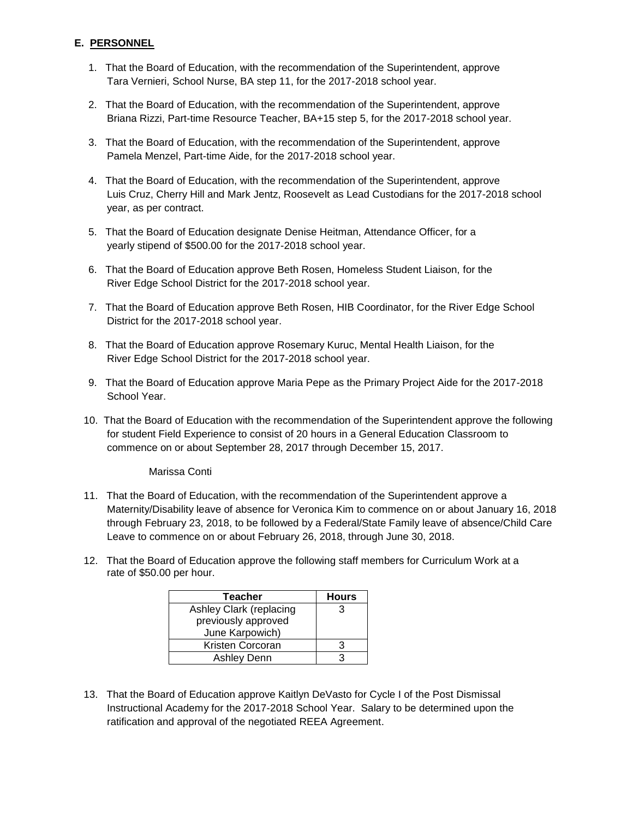## **E. PERSONNEL**

- 1. That the Board of Education, with the recommendation of the Superintendent, approve Tara Vernieri, School Nurse, BA step 11, for the 2017-2018 school year.
- 2. That the Board of Education, with the recommendation of the Superintendent, approve Briana Rizzi, Part-time Resource Teacher, BA+15 step 5, for the 2017-2018 school year.
- 3. That the Board of Education, with the recommendation of the Superintendent, approve Pamela Menzel, Part-time Aide, for the 2017-2018 school year.
- 4. That the Board of Education, with the recommendation of the Superintendent, approve Luis Cruz, Cherry Hill and Mark Jentz, Roosevelt as Lead Custodians for the 2017-2018 school year, as per contract.
- 5. That the Board of Education designate Denise Heitman, Attendance Officer, for a yearly stipend of \$500.00 for the 2017-2018 school year.
- 6. That the Board of Education approve Beth Rosen, Homeless Student Liaison, for the River Edge School District for the 2017-2018 school year.
- 7. That the Board of Education approve Beth Rosen, HIB Coordinator, for the River Edge School District for the 2017-2018 school year.
- 8. That the Board of Education approve Rosemary Kuruc, Mental Health Liaison, for the River Edge School District for the 2017-2018 school year.
- 9. That the Board of Education approve Maria Pepe as the Primary Project Aide for the 2017-2018 School Year.
- 10. That the Board of Education with the recommendation of the Superintendent approve the following for student Field Experience to consist of 20 hours in a General Education Classroom to commence on or about September 28, 2017 through December 15, 2017.

Marissa Conti

- 11. That the Board of Education, with the recommendation of the Superintendent approve a Maternity/Disability leave of absence for Veronica Kim to commence on or about January 16, 2018 through February 23, 2018, to be followed by a Federal/State Family leave of absence/Child Care Leave to commence on or about February 26, 2018, through June 30, 2018.
- 12. That the Board of Education approve the following staff members for Curriculum Work at a rate of \$50.00 per hour.

| Teacher                 | <b>Hours</b> |
|-------------------------|--------------|
| Ashley Clark (replacing | 3            |
| previously approved     |              |
| June Karpowich)         |              |
| Kristen Corcoran        |              |
| <b>Ashley Denn</b>      |              |

13. That the Board of Education approve Kaitlyn DeVasto for Cycle I of the Post Dismissal Instructional Academy for the 2017-2018 School Year. Salary to be determined upon the ratification and approval of the negotiated REEA Agreement.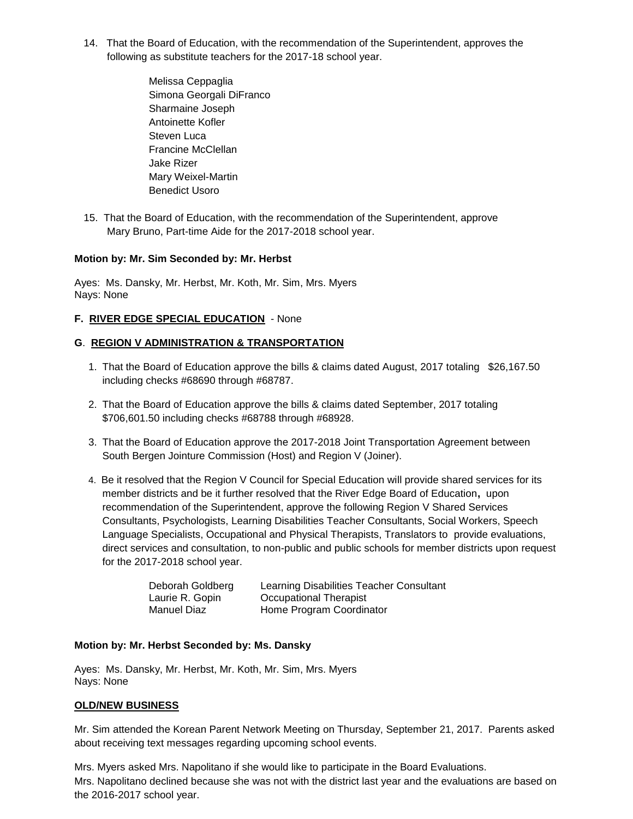- 14. That the Board of Education, with the recommendation of the Superintendent, approves the following as substitute teachers for the 2017-18 school year.
	- Melissa Ceppaglia Simona Georgali DiFranco Sharmaine Joseph Antoinette Kofler Steven Luca Francine McClellan Jake Rizer Mary Weixel-Martin Benedict Usoro
- 15. That the Board of Education, with the recommendation of the Superintendent, approve Mary Bruno, Part-time Aide for the 2017-2018 school year.

### **Motion by: Mr. Sim Seconded by: Mr. Herbst**

Ayes: Ms. Dansky, Mr. Herbst, Mr. Koth, Mr. Sim, Mrs. Myers Nays: None

## **F. RIVER EDGE SPECIAL EDUCATION** - None

## **G**. **REGION V ADMINISTRATION & TRANSPORTATION**

- 1. That the Board of Education approve the bills & claims dated August, 2017 totaling \$26,167.50 including checks #68690 through #68787.
- 2. That the Board of Education approve the bills & claims dated September, 2017 totaling \$706,601.50 including checks #68788 through #68928.
- 3. That the Board of Education approve the 2017-2018 Joint Transportation Agreement between South Bergen Jointure Commission (Host) and Region V (Joiner).
- 4. Be it resolved that the Region V Council for Special Education will provide shared services for its member districts and be it further resolved that the River Edge Board of Education**,** upon recommendation of the Superintendent, approve the following Region V Shared Services Consultants, Psychologists, Learning Disabilities Teacher Consultants, Social Workers, Speech Language Specialists, Occupational and Physical Therapists, Translators to provide evaluations, direct services and consultation, to non-public and public schools for member districts upon request for the 2017-2018 school year.

| Deborah Goldberg | Learning Disabilities Teacher Consultant |
|------------------|------------------------------------------|
| Laurie R. Gopin  | Occupational Therapist                   |
| Manuel Diaz      | Home Program Coordinator                 |

### **Motion by: Mr. Herbst Seconded by: Ms. Dansky**

Ayes: Ms. Dansky, Mr. Herbst, Mr. Koth, Mr. Sim, Mrs. Myers Nays: None

### **OLD/NEW BUSINESS**

Mr. Sim attended the Korean Parent Network Meeting on Thursday, September 21, 2017. Parents asked about receiving text messages regarding upcoming school events.

Mrs. Myers asked Mrs. Napolitano if she would like to participate in the Board Evaluations. Mrs. Napolitano declined because she was not with the district last year and the evaluations are based on the 2016-2017 school year.